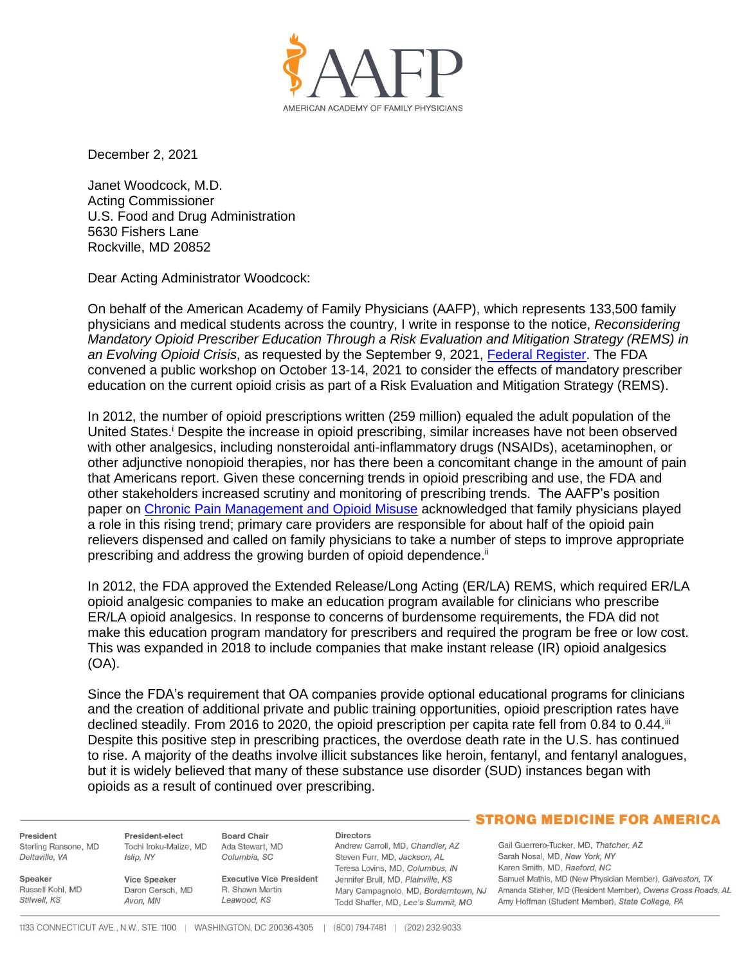

December 2, 2021

Janet Woodcock, M.D. Acting Commissioner U.S. Food and Drug Administration 5630 Fishers Lane Rockville, MD 20852

Dear Acting Administrator Woodcock:

On behalf of the American Academy of Family Physicians (AAFP), which represents 133,500 family physicians and medical students across the country, I write in response to the notice, *Reconsidering Mandatory Opioid Prescriber Education Through a Risk Evaluation and Mitigation Strategy (REMS) in an Evolving Opioid Crisis*, as requested by the September 9, 2021, [Federal Register.](https://www.federalregister.gov/documents/2021/09/09/2021-19437/reconsidering-mandatory-opioid-prescriber-education-through-a-risk-evaluation-and-mitigation) The FDA convened a public workshop on October 13-14, 2021 to consider the effects of mandatory prescriber education on the current opioid crisis as part of a Risk Evaluation and Mitigation Strategy (REMS).

In 2012, the number of opioid prescriptions written (259 million) equaled the adult population of the United States.<sup>i</sup> Despite the increase in opioid prescribing, similar increases have not been observed with other analgesics, including nonsteroidal anti-inflammatory drugs (NSAIDs), acetaminophen, or other adjunctive nonopioid therapies, nor has there been a concomitant change in the amount of pain that Americans report. Given these concerning trends in opioid prescribing and use, the FDA and other stakeholders increased scrutiny and monitoring of prescribing trends. The AAFP's position paper on [Chronic Pain Management and Opioid Misuse](https://www.aafp.org/about/policies/all/chronic-pain-management-opiod-misuse.html) acknowledged that family physicians played a role in this rising trend; primary care providers are responsible for about half of the opioid pain relievers dispensed and called on family physicians to take a number of steps to improve appropriate prescribing and address the growing burden of opioid dependence.<sup>ii</sup>

In 2012, the FDA approved the Extended Release/Long Acting (ER/LA) REMS, which required ER/LA opioid analgesic companies to make an education program available for clinicians who prescribe ER/LA opioid analgesics. In response to concerns of burdensome requirements, the FDA did not make this education program mandatory for prescribers and required the program be free or low cost. This was expanded in 2018 to include companies that make instant release (IR) opioid analgesics (OA).

Since the FDA's requirement that OA companies provide optional educational programs for clinicians and the creation of additional private and public training opportunities, opioid prescription rates have declined steadily. From 2016 to 2020, the opioid prescription per capita rate fell from 0.84 to 0.44.<sup>iii</sup> Despite this positive step in prescribing practices, the overdose death rate in the U.S. has continued to rise. A majority of the deaths involve illicit substances like heroin, fentanyl, and fentanyl analogues, but it is widely believed that many of these substance use disorder (SUD) instances began with opioids as a result of continued over prescribing.

President Sterling Ransone, MD Deltaville, VA

Russell Kohl MD

Speaker

Stilwell, KS

President-elect Tochi Iroku-Malize, MD Islin, NY

Daron Gersch, MD

Avon, MN

Ada Stewart, MD Columbia, SC **Vice Speaker** 

**Executive Vice President** R Shawn Martin Leawood, KS

**Directors** Andrew Carroll, MD, Chandler, AZ Steven Furr, MD, Jackson, AL Teresa Lovins, MD, Columbus, IN Jennifer Brull, MD, Plainville, KS Todd Shaffer, MD, Lee's Summit, MO

## **STRONG MEDICINE FOR AMERICA**

Gail Guerrero-Tucker, MD, Thatcher, AZ Sarah Nosal, MD, New York, NY Karen Smith, MD, Raeford, NC Samuel Mathis, MD (New Physician Member), Galveston, TX Mary Campagnolo, MD, Borderntown, NJ Amanda Stisher, MD (Resident Member), Owens Cross Roads, AL Amy Hoffman (Student Member), State College, PA

**Board Chair**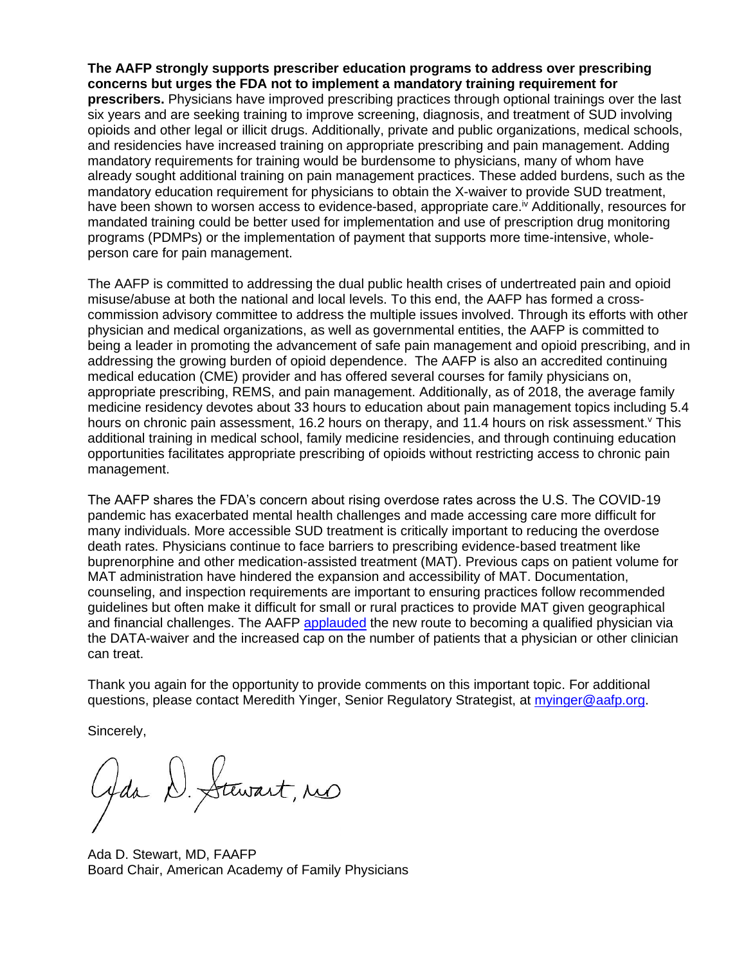**The AAFP strongly supports prescriber education programs to address over prescribing concerns but urges the FDA not to implement a mandatory training requirement for prescribers.** Physicians have improved prescribing practices through optional trainings over the last six years and are seeking training to improve screening, diagnosis, and treatment of SUD involving opioids and other legal or illicit drugs. Additionally, private and public organizations, medical schools, and residencies have increased training on appropriate prescribing and pain management. Adding mandatory requirements for training would be burdensome to physicians, many of whom have already sought additional training on pain management practices. These added burdens, such as the mandatory education requirement for physicians to obtain the X-waiver to provide SUD treatment, have been shown to worsen access to evidence-based, appropriate care.<sup>iv</sup> Additionally, resources for mandated training could be better used for implementation and use of prescription drug monitoring programs (PDMPs) or the implementation of payment that supports more time-intensive, wholeperson care for pain management.

The AAFP is committed to addressing the dual public health crises of undertreated pain and opioid misuse/abuse at both the national and local levels. To this end, the AAFP has formed a crosscommission advisory committee to address the multiple issues involved. Through its efforts with other physician and medical organizations, as well as governmental entities, the AAFP is committed to being a leader in promoting the advancement of safe pain management and opioid prescribing, and in addressing the growing burden of opioid dependence. The AAFP is also an accredited continuing medical education (CME) provider and has offered several courses for family physicians on, appropriate prescribing, REMS, and pain management. Additionally, as of 2018, the average family medicine residency devotes about 33 hours to education about pain management topics including 5.4 hours on chronic pain assessment, 16.2 hours on therapy, and 11.4 hours on risk assessment. $\gamma$  This additional training in medical school, family medicine residencies, and through continuing education opportunities facilitates appropriate prescribing of opioids without restricting access to chronic pain management.

The AAFP shares the FDA's concern about rising overdose rates across the U.S. The COVID-19 pandemic has exacerbated mental health challenges and made accessing care more difficult for many individuals. More accessible SUD treatment is critically important to reducing the overdose death rates. Physicians continue to face barriers to prescribing evidence-based treatment like buprenorphine and other medication-assisted treatment (MAT). Previous caps on patient volume for MAT administration have hindered the expansion and accessibility of MAT. Documentation, counseling, and inspection requirements are important to ensuring practices follow recommended guidelines but often make it difficult for small or rural practices to provide MAT given geographical and financial challenges. The AAFP [applauded](https://www.aafp.org/dam/AAFP/documents/advocacy/prevention/risk/LT-DEA-MATFinalRule-122320.pdf) the new route to becoming a qualified physician via the DATA-waiver and the increased cap on the number of patients that a physician or other clinician can treat.

Thank you again for the opportunity to provide comments on this important topic. For additional questions, please contact Meredith Yinger, Senior Regulatory Strategist, at [myinger@aafp.org.](mailto:myinger@aafp.org)

Sincerely,

Gds D. Stewart, no

Ada D. Stewart, MD, FAAFP Board Chair, American Academy of Family Physicians